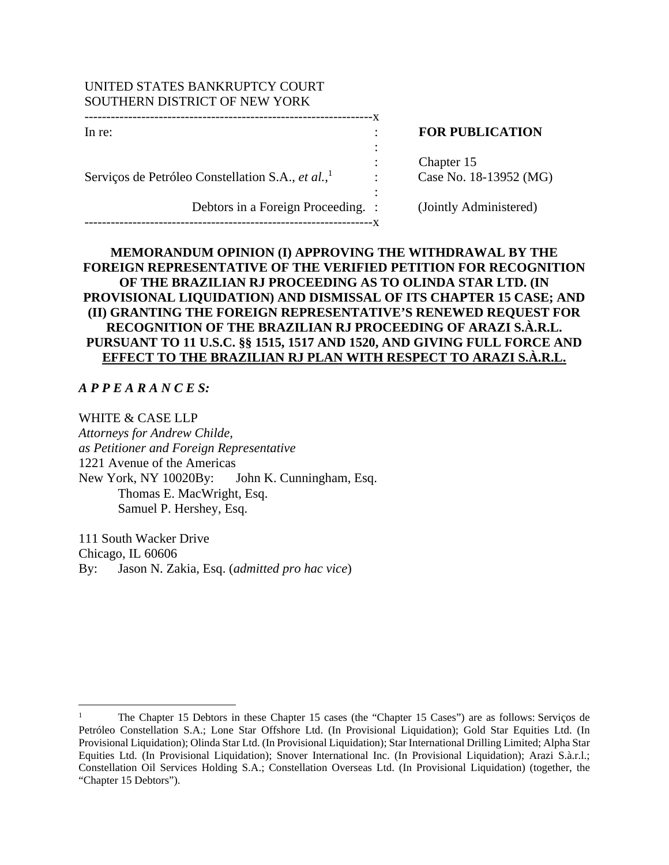## UNITED STATES BANKRUPTCY COURT SOUTHERN DISTRICT OF NEW YORK

------------------------------------------------------------------x

the contract of the contract of the contract of the contract of the contract of the contract of the contract of

Serviços de Petróleo Constellation S.A., *et al.*, 1

Debtors in a Foreign Proceeding. : (Jointly Administered)

------------------------------------------------------------------x

the contract of the contract of the contract of the contract of the contract of the contract of the contract of

# In re: **In return in the set of the set of the set of the set of the set of the set of the set of the set of the set of the set of the set of the set of the set of the set of the set of the set of the set of the set of the**

Chapter 15 : Case No. 18-13952 (MG)

# **MEMORANDUM OPINION (I) APPROVING THE WITHDRAWAL BY THE FOREIGN REPRESENTATIVE OF THE VERIFIED PETITION FOR RECOGNITION OF THE BRAZILIAN RJ PROCEEDING AS TO OLINDA STAR LTD. (IN PROVISIONAL LIQUIDATION) AND DISMISSAL OF ITS CHAPTER 15 CASE; AND (II) GRANTING THE FOREIGN REPRESENTATIVE'S RENEWED REQUEST FOR RECOGNITION OF THE BRAZILIAN RJ PROCEEDING OF ARAZI S.À.R.L. PURSUANT TO 11 U.S.C. §§ 1515, 1517 AND 1520, AND GIVING FULL FORCE AND EFFECT TO THE BRAZILIAN RJ PLAN WITH RESPECT TO ARAZI S.À.R.L.**

:

*A P P E A R A N C E S:* 

WHITE & CASE LLP

*Attorneys for Andrew Childe, as Petitioner and Foreign Representative*  1221 Avenue of the Americas New York, NY 10020By: John K. Cunningham, Esq. Thomas E. MacWright, Esq. Samuel P. Hershey, Esq.

111 South Wacker Drive Chicago, IL 60606 By: Jason N. Zakia, Esq. (*admitted pro hac vice*)

<sup>1</sup> The Chapter 15 Debtors in these Chapter 15 cases (the "Chapter 15 Cases") are as follows: Serviços de Petróleo Constellation S.A.; Lone Star Offshore Ltd. (In Provisional Liquidation); Gold Star Equities Ltd. (In Provisional Liquidation); Olinda Star Ltd. (In Provisional Liquidation); Star International Drilling Limited; Alpha Star Equities Ltd. (In Provisional Liquidation); Snover International Inc. (In Provisional Liquidation); Arazi S.à.r.l.; Constellation Oil Services Holding S.A.; Constellation Overseas Ltd. (In Provisional Liquidation) (together, the "Chapter 15 Debtors").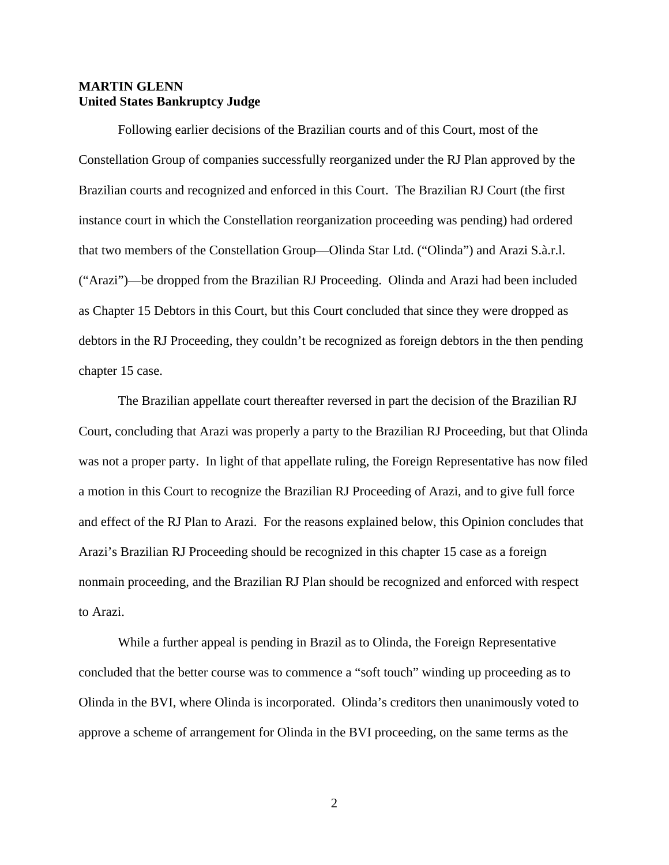## **MARTIN GLENN United States Bankruptcy Judge**

Following earlier decisions of the Brazilian courts and of this Court, most of the Constellation Group of companies successfully reorganized under the RJ Plan approved by the Brazilian courts and recognized and enforced in this Court. The Brazilian RJ Court (the first instance court in which the Constellation reorganization proceeding was pending) had ordered that two members of the Constellation Group—Olinda Star Ltd. ("Olinda") and Arazi S.à.r.l. ("Arazi")—be dropped from the Brazilian RJ Proceeding. Olinda and Arazi had been included as Chapter 15 Debtors in this Court, but this Court concluded that since they were dropped as debtors in the RJ Proceeding, they couldn't be recognized as foreign debtors in the then pending chapter 15 case.

The Brazilian appellate court thereafter reversed in part the decision of the Brazilian RJ Court, concluding that Arazi was properly a party to the Brazilian RJ Proceeding, but that Olinda was not a proper party. In light of that appellate ruling, the Foreign Representative has now filed a motion in this Court to recognize the Brazilian RJ Proceeding of Arazi, and to give full force and effect of the RJ Plan to Arazi. For the reasons explained below, this Opinion concludes that Arazi's Brazilian RJ Proceeding should be recognized in this chapter 15 case as a foreign nonmain proceeding, and the Brazilian RJ Plan should be recognized and enforced with respect to Arazi.

While a further appeal is pending in Brazil as to Olinda, the Foreign Representative concluded that the better course was to commence a "soft touch" winding up proceeding as to Olinda in the BVI, where Olinda is incorporated. Olinda's creditors then unanimously voted to approve a scheme of arrangement for Olinda in the BVI proceeding, on the same terms as the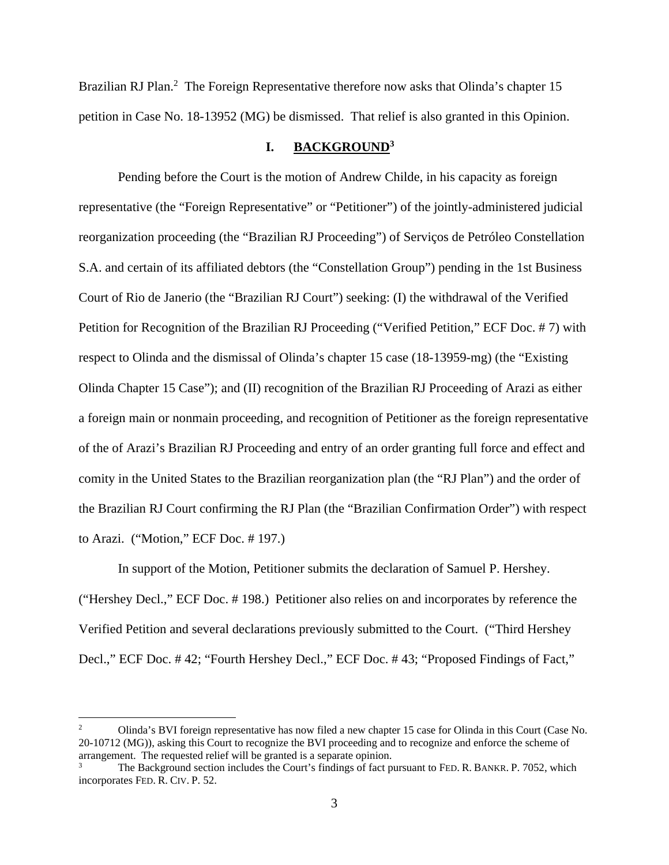Brazilian RJ Plan.<sup>2</sup> The Foreign Representative therefore now asks that Olinda's chapter 15 petition in Case No. 18-13952 (MG) be dismissed. That relief is also granted in this Opinion.

## **I. BACKGROUND3**

Pending before the Court is the motion of Andrew Childe, in his capacity as foreign representative (the "Foreign Representative" or "Petitioner") of the jointly-administered judicial reorganization proceeding (the "Brazilian RJ Proceeding") of Serviços de Petróleo Constellation S.A. and certain of its affiliated debtors (the "Constellation Group") pending in the 1st Business Court of Rio de Janerio (the "Brazilian RJ Court") seeking: (I) the withdrawal of the Verified Petition for Recognition of the Brazilian RJ Proceeding ("Verified Petition," ECF Doc. # 7) with respect to Olinda and the dismissal of Olinda's chapter 15 case (18-13959-mg) (the "Existing Olinda Chapter 15 Case"); and (II) recognition of the Brazilian RJ Proceeding of Arazi as either a foreign main or nonmain proceeding, and recognition of Petitioner as the foreign representative of the of Arazi's Brazilian RJ Proceeding and entry of an order granting full force and effect and comity in the United States to the Brazilian reorganization plan (the "RJ Plan") and the order of the Brazilian RJ Court confirming the RJ Plan (the "Brazilian Confirmation Order") with respect to Arazi. ("Motion," ECF Doc. # 197.)

In support of the Motion, Petitioner submits the declaration of Samuel P. Hershey. ("Hershey Decl.," ECF Doc. # 198.) Petitioner also relies on and incorporates by reference the Verified Petition and several declarations previously submitted to the Court. ("Third Hershey Decl.," ECF Doc. # 42; "Fourth Hershey Decl.," ECF Doc. # 43; "Proposed Findings of Fact,"

<sup>2</sup> Olinda's BVI foreign representative has now filed a new chapter 15 case for Olinda in this Court (Case No. 20-10712 (MG)), asking this Court to recognize the BVI proceeding and to recognize and enforce the scheme of arrangement. The requested relief will be granted is a separate opinion. 3

The Background section includes the Court's findings of fact pursuant to FED. R. BANKR. P. 7052, which incorporates FED. R. CIV. P. 52.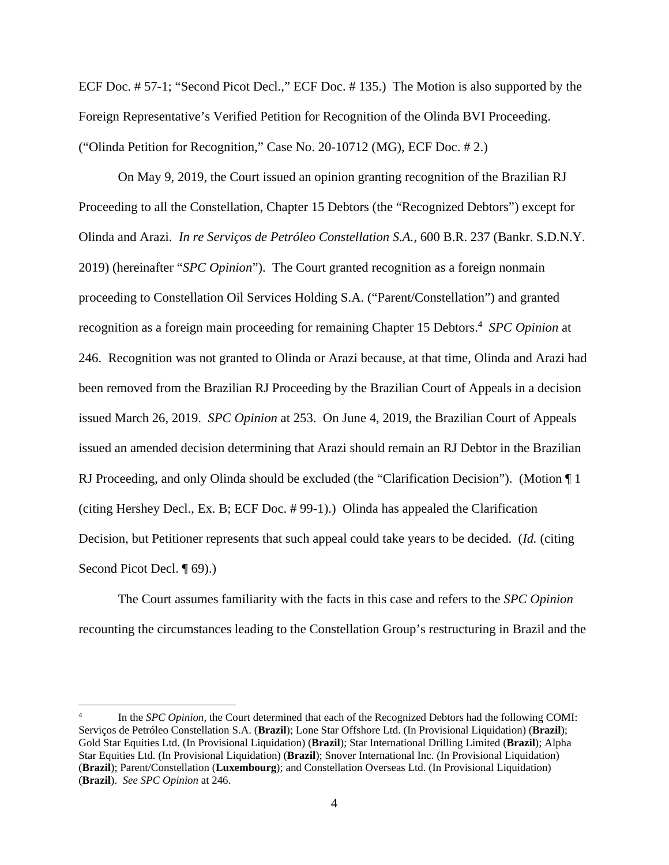ECF Doc. # 57-1; "Second Picot Decl.," ECF Doc. # 135.) The Motion is also supported by the Foreign Representative's Verified Petition for Recognition of the Olinda BVI Proceeding. ("Olinda Petition for Recognition," Case No. 20-10712 (MG), ECF Doc. # 2.)

On May 9, 2019, the Court issued an opinion granting recognition of the Brazilian RJ Proceeding to all the Constellation, Chapter 15 Debtors (the "Recognized Debtors") except for Olinda and Arazi. *In re Serviços de Petróleo Constellation S.A.*, 600 B.R. 237 (Bankr. S.D.N.Y. 2019) (hereinafter "*SPC Opinion*"). The Court granted recognition as a foreign nonmain proceeding to Constellation Oil Services Holding S.A. ("Parent/Constellation") and granted recognition as a foreign main proceeding for remaining Chapter 15 Debtors.<sup>4</sup> SPC Opinion at 246. Recognition was not granted to Olinda or Arazi because, at that time, Olinda and Arazi had been removed from the Brazilian RJ Proceeding by the Brazilian Court of Appeals in a decision issued March 26, 2019. *SPC Opinion* at 253. On June 4, 2019, the Brazilian Court of Appeals issued an amended decision determining that Arazi should remain an RJ Debtor in the Brazilian RJ Proceeding, and only Olinda should be excluded (the "Clarification Decision"). (Motion  $\P$  1 (citing Hershey Decl., Ex. B; ECF Doc. # 99-1).) Olinda has appealed the Clarification Decision, but Petitioner represents that such appeal could take years to be decided. (*Id.* (citing Second Picot Decl. ¶ 69).)

The Court assumes familiarity with the facts in this case and refers to the *SPC Opinion* recounting the circumstances leading to the Constellation Group's restructuring in Brazil and the

<sup>4</sup> In the *SPC Opinion*, the Court determined that each of the Recognized Debtors had the following COMI: Serviços de Petróleo Constellation S.A. (**Brazil**); Lone Star Offshore Ltd. (In Provisional Liquidation) (**Brazil**); Gold Star Equities Ltd. (In Provisional Liquidation) (**Brazil**); Star International Drilling Limited (**Brazil**); Alpha Star Equities Ltd. (In Provisional Liquidation) (**Brazil**); Snover International Inc. (In Provisional Liquidation) (**Brazil**); Parent/Constellation (**Luxembourg**); and Constellation Overseas Ltd. (In Provisional Liquidation) (**Brazil**). *See SPC Opinion* at 246.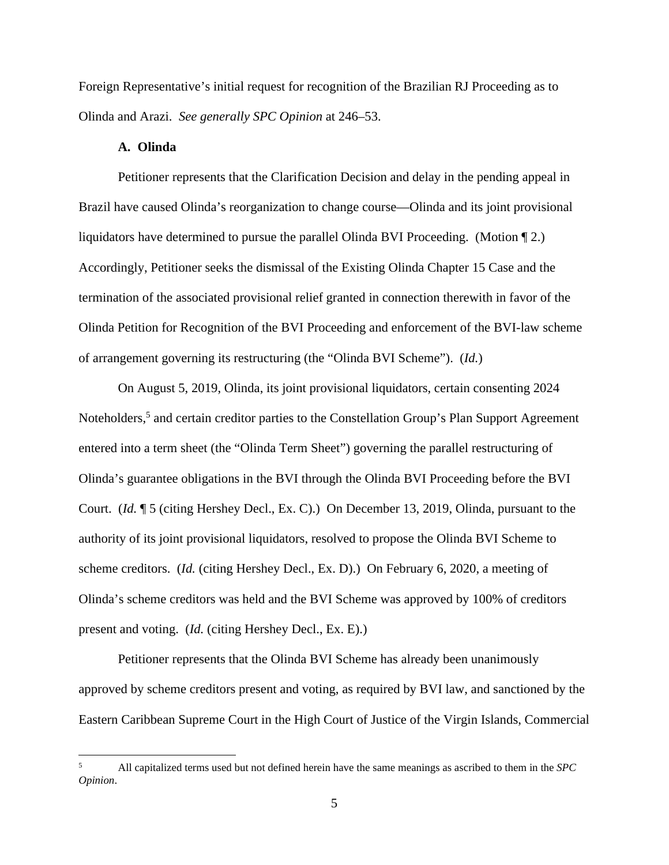Foreign Representative's initial request for recognition of the Brazilian RJ Proceeding as to Olinda and Arazi. *See generally SPC Opinion* at 246–53.

#### **A. Olinda**

Petitioner represents that the Clarification Decision and delay in the pending appeal in Brazil have caused Olinda's reorganization to change course—Olinda and its joint provisional liquidators have determined to pursue the parallel Olinda BVI Proceeding. (Motion ¶ 2.) Accordingly, Petitioner seeks the dismissal of the Existing Olinda Chapter 15 Case and the termination of the associated provisional relief granted in connection therewith in favor of the Olinda Petition for Recognition of the BVI Proceeding and enforcement of the BVI-law scheme of arrangement governing its restructuring (the "Olinda BVI Scheme"). (*Id.*)

On August 5, 2019, Olinda, its joint provisional liquidators, certain consenting 2024 Noteholders,<sup>5</sup> and certain creditor parties to the Constellation Group's Plan Support Agreement entered into a term sheet (the "Olinda Term Sheet") governing the parallel restructuring of Olinda's guarantee obligations in the BVI through the Olinda BVI Proceeding before the BVI Court. (*Id.* ¶ 5 (citing Hershey Decl., Ex. C).) On December 13, 2019, Olinda, pursuant to the authority of its joint provisional liquidators, resolved to propose the Olinda BVI Scheme to scheme creditors. (*Id.* (citing Hershey Decl., Ex. D).) On February 6, 2020, a meeting of Olinda's scheme creditors was held and the BVI Scheme was approved by 100% of creditors present and voting. (*Id.* (citing Hershey Decl., Ex. E).)

Petitioner represents that the Olinda BVI Scheme has already been unanimously approved by scheme creditors present and voting, as required by BVI law, and sanctioned by the Eastern Caribbean Supreme Court in the High Court of Justice of the Virgin Islands, Commercial

<sup>5</sup> All capitalized terms used but not defined herein have the same meanings as ascribed to them in the *SPC Opinion*.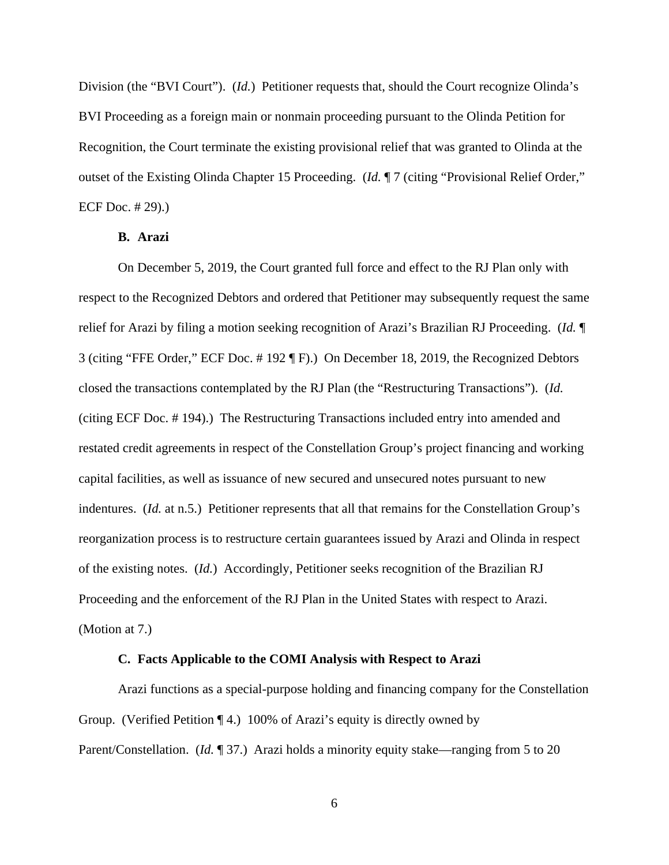Division (the "BVI Court"). (*Id.*) Petitioner requests that, should the Court recognize Olinda's BVI Proceeding as a foreign main or nonmain proceeding pursuant to the Olinda Petition for Recognition, the Court terminate the existing provisional relief that was granted to Olinda at the outset of the Existing Olinda Chapter 15 Proceeding. (*Id.* ¶ 7 (citing "Provisional Relief Order," ECF Doc. # 29).)

#### **B. Arazi**

On December 5, 2019, the Court granted full force and effect to the RJ Plan only with respect to the Recognized Debtors and ordered that Petitioner may subsequently request the same relief for Arazi by filing a motion seeking recognition of Arazi's Brazilian RJ Proceeding. (*Id.* ¶ 3 (citing "FFE Order," ECF Doc. # 192 ¶ F).) On December 18, 2019, the Recognized Debtors closed the transactions contemplated by the RJ Plan (the "Restructuring Transactions"). (*Id.* (citing ECF Doc. # 194).) The Restructuring Transactions included entry into amended and restated credit agreements in respect of the Constellation Group's project financing and working capital facilities, as well as issuance of new secured and unsecured notes pursuant to new indentures. (*Id.* at n.5.) Petitioner represents that all that remains for the Constellation Group's reorganization process is to restructure certain guarantees issued by Arazi and Olinda in respect of the existing notes. (*Id.*) Accordingly, Petitioner seeks recognition of the Brazilian RJ Proceeding and the enforcement of the RJ Plan in the United States with respect to Arazi. (Motion at 7.)

#### **C. Facts Applicable to the COMI Analysis with Respect to Arazi**

Arazi functions as a special-purpose holding and financing company for the Constellation Group. (Verified Petition ¶ 4.) 100% of Arazi's equity is directly owned by Parent/Constellation. (*Id.* ¶ 37.) Arazi holds a minority equity stake—ranging from 5 to 20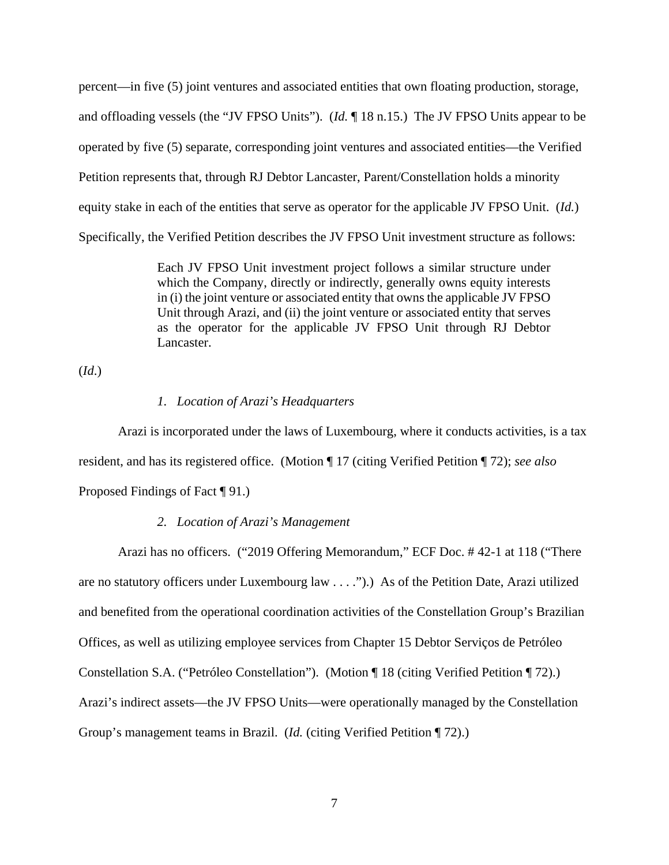percent—in five (5) joint ventures and associated entities that own floating production, storage, and offloading vessels (the "JV FPSO Units"). (*Id.* ¶ 18 n.15.) The JV FPSO Units appear to be operated by five (5) separate, corresponding joint ventures and associated entities—the Verified Petition represents that, through RJ Debtor Lancaster, Parent/Constellation holds a minority equity stake in each of the entities that serve as operator for the applicable JV FPSO Unit. (*Id.*) Specifically, the Verified Petition describes the JV FPSO Unit investment structure as follows:

> Each JV FPSO Unit investment project follows a similar structure under which the Company, directly or indirectly, generally owns equity interests in (i) the joint venture or associated entity that owns the applicable JV FPSO Unit through Arazi, and (ii) the joint venture or associated entity that serves as the operator for the applicable JV FPSO Unit through RJ Debtor Lancaster.

(*Id*.)

### *1. Location of Arazi's Headquarters*

Arazi is incorporated under the laws of Luxembourg, where it conducts activities, is a tax resident, and has its registered office. (Motion ¶ 17 (citing Verified Petition ¶ 72); *see also* Proposed Findings of Fact ¶ 91.)

#### *2. Location of Arazi's Management*

Arazi has no officers. ("2019 Offering Memorandum," ECF Doc. # 42-1 at 118 ("There are no statutory officers under Luxembourg law . . . .").) As of the Petition Date, Arazi utilized and benefited from the operational coordination activities of the Constellation Group's Brazilian Offices, as well as utilizing employee services from Chapter 15 Debtor Serviços de Petróleo Constellation S.A. ("Petróleo Constellation"). (Motion ¶ 18 (citing Verified Petition ¶ 72).) Arazi's indirect assets—the JV FPSO Units—were operationally managed by the Constellation Group's management teams in Brazil. (*Id.* (citing Verified Petition ¶ 72).)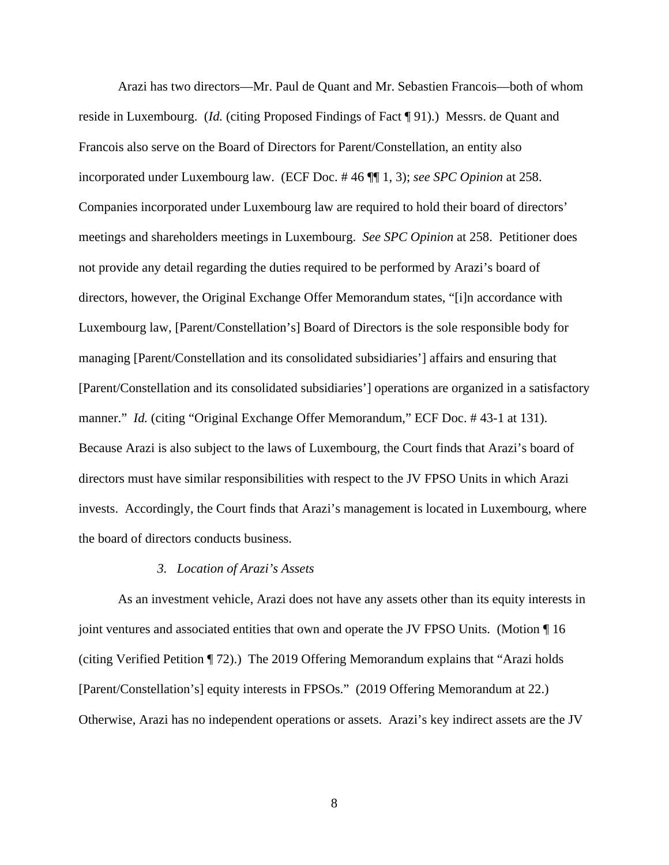Arazi has two directors—Mr. Paul de Quant and Mr. Sebastien Francois—both of whom reside in Luxembourg. (*Id.* (citing Proposed Findings of Fact ¶ 91).) Messrs. de Quant and Francois also serve on the Board of Directors for Parent/Constellation, an entity also incorporated under Luxembourg law. (ECF Doc. # 46 ¶¶ 1, 3); *see SPC Opinion* at 258. Companies incorporated under Luxembourg law are required to hold their board of directors' meetings and shareholders meetings in Luxembourg. *See SPC Opinion* at 258. Petitioner does not provide any detail regarding the duties required to be performed by Arazi's board of directors, however, the Original Exchange Offer Memorandum states, "[i]n accordance with Luxembourg law, [Parent/Constellation's] Board of Directors is the sole responsible body for managing [Parent/Constellation and its consolidated subsidiaries'] affairs and ensuring that [Parent/Constellation and its consolidated subsidiaries'] operations are organized in a satisfactory manner." *Id.* (citing "Original Exchange Offer Memorandum," ECF Doc. # 43-1 at 131). Because Arazi is also subject to the laws of Luxembourg, the Court finds that Arazi's board of directors must have similar responsibilities with respect to the JV FPSO Units in which Arazi invests. Accordingly, the Court finds that Arazi's management is located in Luxembourg, where the board of directors conducts business.

#### *3. Location of Arazi's Assets*

As an investment vehicle, Arazi does not have any assets other than its equity interests in joint ventures and associated entities that own and operate the JV FPSO Units. (Motion ¶ 16 (citing Verified Petition ¶ 72).) The 2019 Offering Memorandum explains that "Arazi holds [Parent/Constellation's] equity interests in FPSOs." (2019 Offering Memorandum at 22.) Otherwise, Arazi has no independent operations or assets. Arazi's key indirect assets are the JV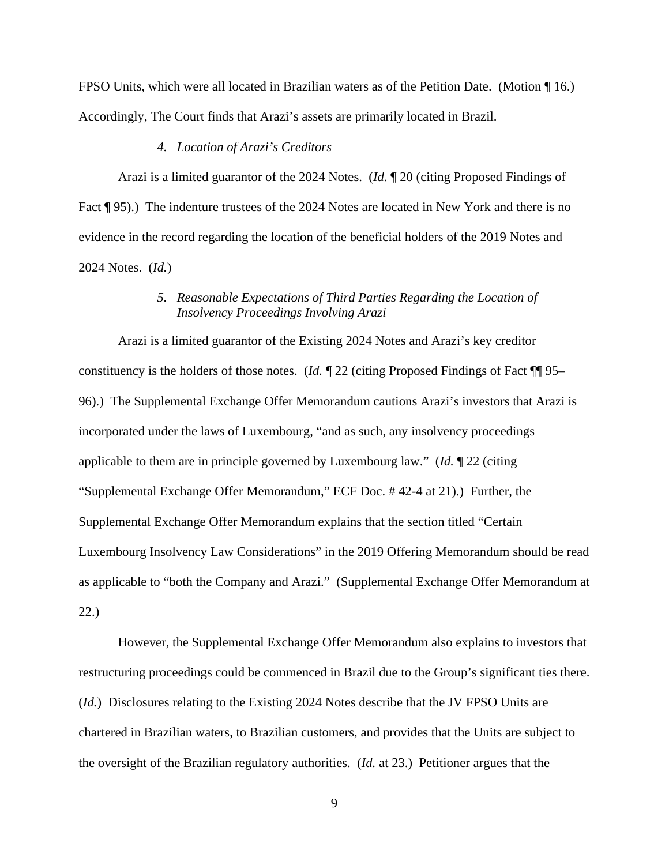FPSO Units, which were all located in Brazilian waters as of the Petition Date. (Motion ¶ 16.) Accordingly, The Court finds that Arazi's assets are primarily located in Brazil.

#### *4. Location of Arazi's Creditors*

Arazi is a limited guarantor of the 2024 Notes. (*Id.* ¶ 20 (citing Proposed Findings of Fact ¶ 95).) The indenture trustees of the 2024 Notes are located in New York and there is no evidence in the record regarding the location of the beneficial holders of the 2019 Notes and 2024 Notes. (*Id.*)

## *5. Reasonable Expectations of Third Parties Regarding the Location of Insolvency Proceedings Involving Arazi*

Arazi is a limited guarantor of the Existing 2024 Notes and Arazi's key creditor constituency is the holders of those notes. (*Id.* ¶ 22 (citing Proposed Findings of Fact ¶¶ 95– 96).) The Supplemental Exchange Offer Memorandum cautions Arazi's investors that Arazi is incorporated under the laws of Luxembourg, "and as such, any insolvency proceedings applicable to them are in principle governed by Luxembourg law." (*Id.* ¶ 22 (citing "Supplemental Exchange Offer Memorandum," ECF Doc. # 42-4 at 21).) Further, the Supplemental Exchange Offer Memorandum explains that the section titled "Certain Luxembourg Insolvency Law Considerations" in the 2019 Offering Memorandum should be read as applicable to "both the Company and Arazi." (Supplemental Exchange Offer Memorandum at 22.)

However, the Supplemental Exchange Offer Memorandum also explains to investors that restructuring proceedings could be commenced in Brazil due to the Group's significant ties there. (*Id.*) Disclosures relating to the Existing 2024 Notes describe that the JV FPSO Units are chartered in Brazilian waters, to Brazilian customers, and provides that the Units are subject to the oversight of the Brazilian regulatory authorities. (*Id.* at 23.) Petitioner argues that the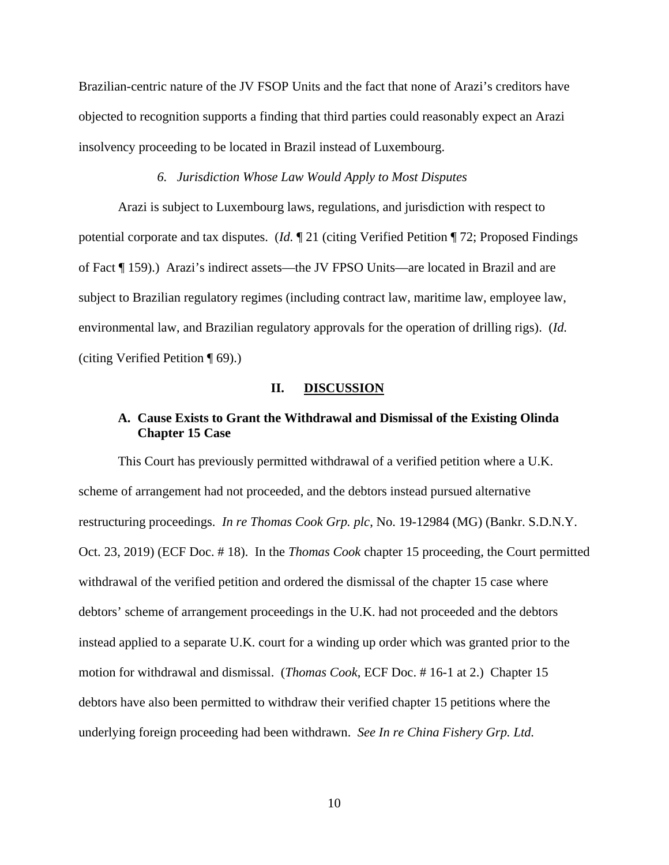Brazilian-centric nature of the JV FSOP Units and the fact that none of Arazi's creditors have objected to recognition supports a finding that third parties could reasonably expect an Arazi insolvency proceeding to be located in Brazil instead of Luxembourg.

#### *6. Jurisdiction Whose Law Would Apply to Most Disputes*

Arazi is subject to Luxembourg laws, regulations, and jurisdiction with respect to potential corporate and tax disputes. (*Id.* ¶ 21 (citing Verified Petition ¶ 72; Proposed Findings of Fact ¶ 159).) Arazi's indirect assets—the JV FPSO Units—are located in Brazil and are subject to Brazilian regulatory regimes (including contract law, maritime law, employee law, environmental law, and Brazilian regulatory approvals for the operation of drilling rigs). (*Id.* (citing Verified Petition ¶ 69).)

#### **II. DISCUSSION**

## **A. Cause Exists to Grant the Withdrawal and Dismissal of the Existing Olinda Chapter 15 Case**

This Court has previously permitted withdrawal of a verified petition where a U.K. scheme of arrangement had not proceeded, and the debtors instead pursued alternative restructuring proceedings. *In re Thomas Cook Grp. plc*, No. 19-12984 (MG) (Bankr. S.D.N.Y. Oct. 23, 2019) (ECF Doc. # 18). In the *Thomas Cook* chapter 15 proceeding, the Court permitted withdrawal of the verified petition and ordered the dismissal of the chapter 15 case where debtors' scheme of arrangement proceedings in the U.K. had not proceeded and the debtors instead applied to a separate U.K. court for a winding up order which was granted prior to the motion for withdrawal and dismissal. (*Thomas Cook*, ECF Doc. # 16-1 at 2.) Chapter 15 debtors have also been permitted to withdraw their verified chapter 15 petitions where the underlying foreign proceeding had been withdrawn. *See In re China Fishery Grp. Ltd.*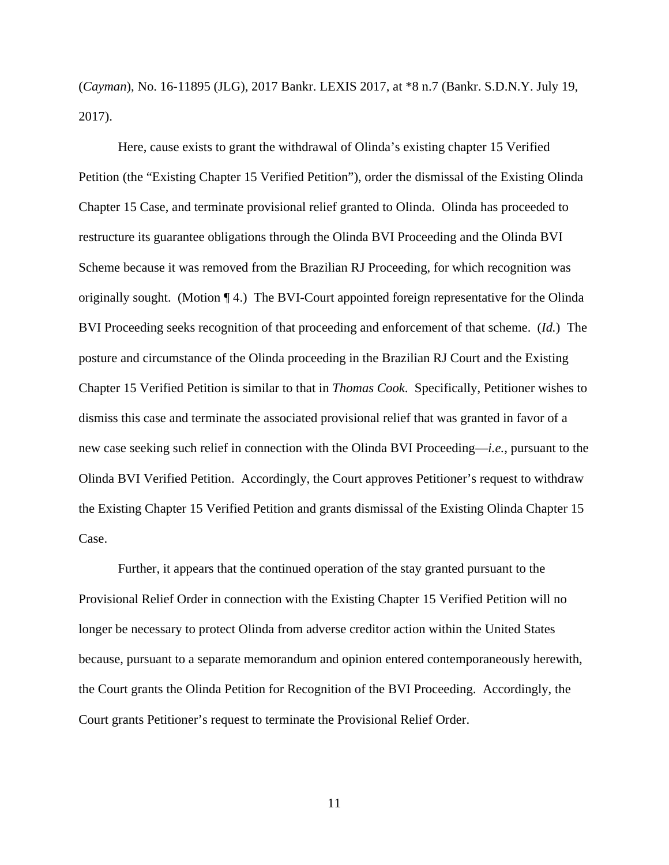(*Cayman*), No. 16-11895 (JLG), 2017 Bankr. LEXIS 2017, at \*8 n.7 (Bankr. S.D.N.Y. July 19, 2017).

Here, cause exists to grant the withdrawal of Olinda's existing chapter 15 Verified Petition (the "Existing Chapter 15 Verified Petition"), order the dismissal of the Existing Olinda Chapter 15 Case, and terminate provisional relief granted to Olinda. Olinda has proceeded to restructure its guarantee obligations through the Olinda BVI Proceeding and the Olinda BVI Scheme because it was removed from the Brazilian RJ Proceeding, for which recognition was originally sought. (Motion ¶ 4.) The BVI-Court appointed foreign representative for the Olinda BVI Proceeding seeks recognition of that proceeding and enforcement of that scheme. (*Id.*) The posture and circumstance of the Olinda proceeding in the Brazilian RJ Court and the Existing Chapter 15 Verified Petition is similar to that in *Thomas Cook*. Specifically, Petitioner wishes to dismiss this case and terminate the associated provisional relief that was granted in favor of a new case seeking such relief in connection with the Olinda BVI Proceeding—*i.e.*, pursuant to the Olinda BVI Verified Petition. Accordingly, the Court approves Petitioner's request to withdraw the Existing Chapter 15 Verified Petition and grants dismissal of the Existing Olinda Chapter 15 Case.

Further, it appears that the continued operation of the stay granted pursuant to the Provisional Relief Order in connection with the Existing Chapter 15 Verified Petition will no longer be necessary to protect Olinda from adverse creditor action within the United States because, pursuant to a separate memorandum and opinion entered contemporaneously herewith, the Court grants the Olinda Petition for Recognition of the BVI Proceeding. Accordingly, the Court grants Petitioner's request to terminate the Provisional Relief Order.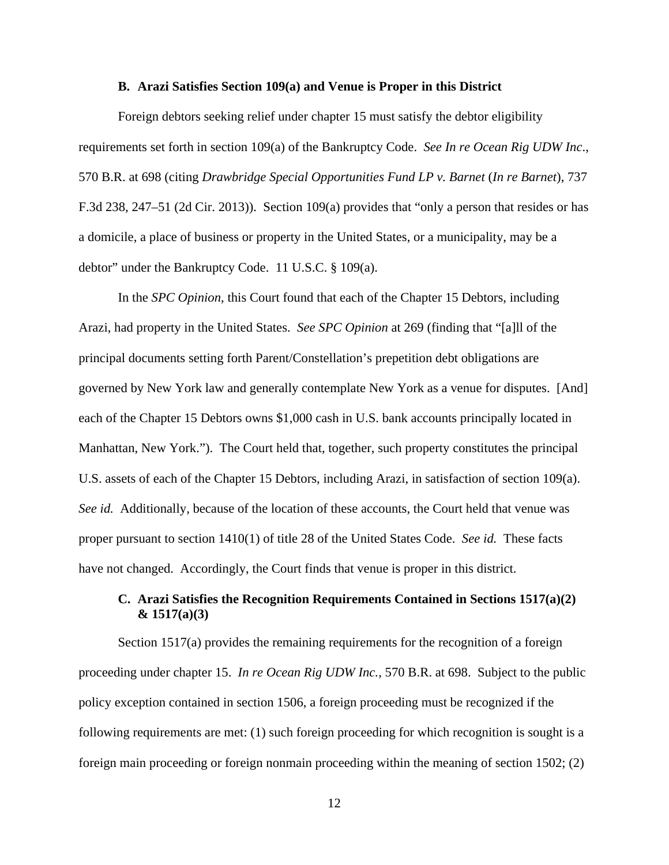#### **B. Arazi Satisfies Section 109(a) and Venue is Proper in this District**

Foreign debtors seeking relief under chapter 15 must satisfy the debtor eligibility requirements set forth in section 109(a) of the Bankruptcy Code. *See In re Ocean Rig UDW Inc*., 570 B.R. at 698 (citing *Drawbridge Special Opportunities Fund LP v. Barnet* (*In re Barnet*), 737 F.3d 238, 247–51 (2d Cir. 2013)). Section 109(a) provides that "only a person that resides or has a domicile, a place of business or property in the United States, or a municipality, may be a debtor" under the Bankruptcy Code. 11 U.S.C. § 109(a).

In the *SPC Opinion*, this Court found that each of the Chapter 15 Debtors, including Arazi, had property in the United States. *See SPC Opinion* at 269 (finding that "[a]ll of the principal documents setting forth Parent/Constellation's prepetition debt obligations are governed by New York law and generally contemplate New York as a venue for disputes. [And] each of the Chapter 15 Debtors owns \$1,000 cash in U.S. bank accounts principally located in Manhattan, New York."). The Court held that, together, such property constitutes the principal U.S. assets of each of the Chapter 15 Debtors, including Arazi, in satisfaction of section 109(a). *See id.* Additionally, because of the location of these accounts, the Court held that venue was proper pursuant to section 1410(1) of title 28 of the United States Code. *See id.* These facts have not changed. Accordingly, the Court finds that venue is proper in this district.

# **C. Arazi Satisfies the Recognition Requirements Contained in Sections 1517(a)(2) & 1517(a)(3)**

Section 1517(a) provides the remaining requirements for the recognition of a foreign proceeding under chapter 15. *In re Ocean Rig UDW Inc.*, 570 B.R. at 698. Subject to the public policy exception contained in section 1506, a foreign proceeding must be recognized if the following requirements are met: (1) such foreign proceeding for which recognition is sought is a foreign main proceeding or foreign nonmain proceeding within the meaning of section 1502; (2)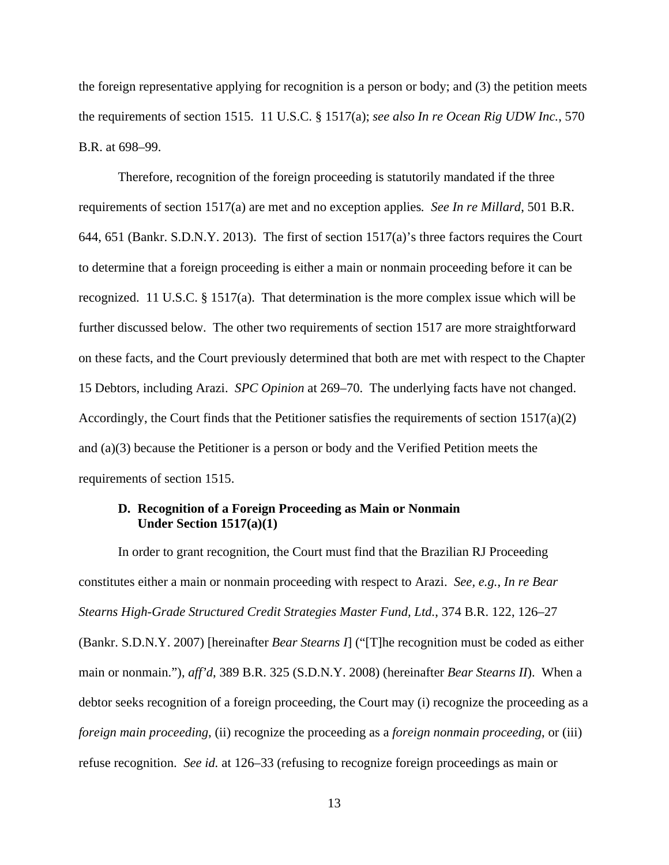the foreign representative applying for recognition is a person or body; and (3) the petition meets the requirements of section 1515. 11 U.S.C. § 1517(a); *see also In re Ocean Rig UDW Inc.*, 570 B.R. at 698–99.

Therefore, recognition of the foreign proceeding is statutorily mandated if the three requirements of section 1517(a) are met and no exception applies*. See In re Millard*, 501 B.R. 644, 651 (Bankr. S.D.N.Y. 2013). The first of section 1517(a)'s three factors requires the Court to determine that a foreign proceeding is either a main or nonmain proceeding before it can be recognized. 11 U.S.C. § 1517(a). That determination is the more complex issue which will be further discussed below. The other two requirements of section 1517 are more straightforward on these facts, and the Court previously determined that both are met with respect to the Chapter 15 Debtors, including Arazi. *SPC Opinion* at 269–70. The underlying facts have not changed. Accordingly, the Court finds that the Petitioner satisfies the requirements of section  $1517(a)(2)$ and (a)(3) because the Petitioner is a person or body and the Verified Petition meets the requirements of section 1515.

## **D. Recognition of a Foreign Proceeding as Main or Nonmain Under Section 1517(a)(1)**

 In order to grant recognition, the Court must find that the Brazilian RJ Proceeding constitutes either a main or nonmain proceeding with respect to Arazi. *See, e.g.*, *In re Bear Stearns High-Grade Structured Credit Strategies Master Fund, Ltd.*, 374 B.R. 122, 126–27 (Bankr. S.D.N.Y. 2007) [hereinafter *Bear Stearns I*] ("[T]he recognition must be coded as either main or nonmain."), *aff'd*, 389 B.R. 325 (S.D.N.Y. 2008) (hereinafter *Bear Stearns II*). When a debtor seeks recognition of a foreign proceeding, the Court may (i) recognize the proceeding as a *foreign main proceeding*, (ii) recognize the proceeding as a *foreign nonmain proceeding*, or (iii) refuse recognition. *See id.* at 126–33 (refusing to recognize foreign proceedings as main or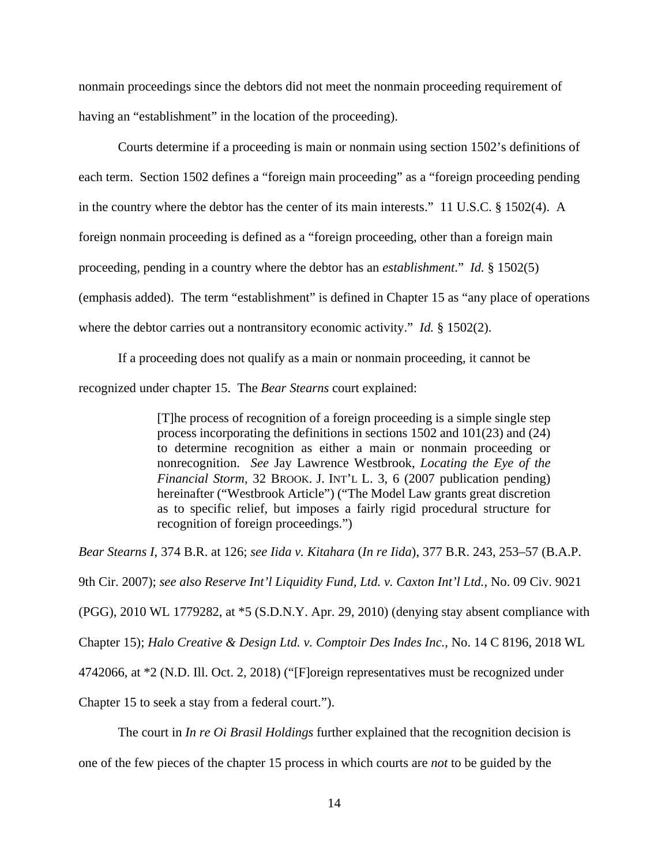nonmain proceedings since the debtors did not meet the nonmain proceeding requirement of having an "establishment" in the location of the proceeding).

 Courts determine if a proceeding is main or nonmain using section 1502's definitions of each term. Section 1502 defines a "foreign main proceeding" as a "foreign proceeding pending in the country where the debtor has the center of its main interests." 11 U.S.C. § 1502(4). A foreign nonmain proceeding is defined as a "foreign proceeding, other than a foreign main proceeding, pending in a country where the debtor has an *establishment*." *Id.* § 1502(5) (emphasis added). The term "establishment" is defined in Chapter 15 as "any place of operations where the debtor carries out a nontransitory economic activity." *Id.* § 1502(2).

If a proceeding does not qualify as a main or nonmain proceeding, it cannot be recognized under chapter 15. The *Bear Stearns* court explained:

> [T]he process of recognition of a foreign proceeding is a simple single step process incorporating the definitions in sections 1502 and 101(23) and (24) to determine recognition as either a main or nonmain proceeding or nonrecognition. *See* Jay Lawrence Westbrook, *Locating the Eye of the Financial Storm,* 32 BROOK. J. INT'L L. 3, 6 (2007 publication pending) hereinafter ("Westbrook Article") ("The Model Law grants great discretion as to specific relief, but imposes a fairly rigid procedural structure for recognition of foreign proceedings.")

*Bear Stearns I*, 374 B.R. at 126; *see Iida v. Kitahara* (*In re Iida*), 377 B.R. 243, 253–57 (B.A.P.

9th Cir. 2007); *see also Reserve Int'l Liquidity Fund, Ltd. v. Caxton Int'l Ltd.*, No. 09 Civ. 9021

(PGG), 2010 WL 1779282, at \*5 (S.D.N.Y. Apr. 29, 2010) (denying stay absent compliance with

Chapter 15); *Halo Creative & Design Ltd. v. Comptoir Des Indes Inc.*, No. 14 C 8196, 2018 WL

4742066, at \*2 (N.D. Ill. Oct. 2, 2018) ("[F]oreign representatives must be recognized under

Chapter 15 to seek a stay from a federal court.").

The court in *In re Oi Brasil Holdings* further explained that the recognition decision is

one of the few pieces of the chapter 15 process in which courts are *not* to be guided by the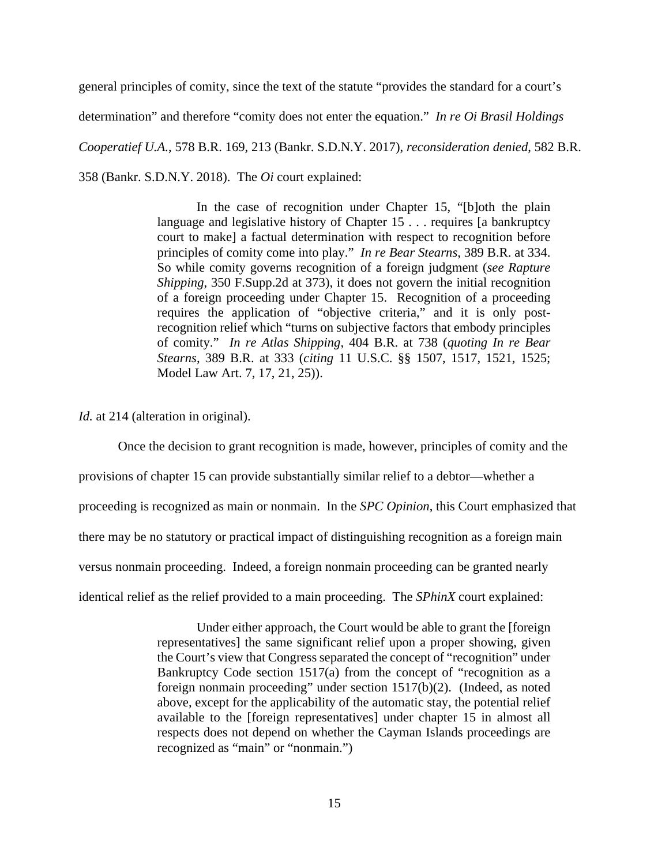general principles of comity, since the text of the statute "provides the standard for a court's determination" and therefore "comity does not enter the equation." *In re Oi Brasil Holdings Cooperatief U.A.*, 578 B.R. 169, 213 (Bankr. S.D.N.Y. 2017), *reconsideration denied*, 582 B.R. 358 (Bankr. S.D.N.Y. 2018). The *Oi* court explained:

> In the case of recognition under Chapter 15, "[b]oth the plain language and legislative history of Chapter 15 . . . requires [a bankruptcy court to make] a factual determination with respect to recognition before principles of comity come into play." *In re Bear Stearns*, 389 B.R. at 334. So while comity governs recognition of a foreign judgment (*see Rapture Shipping*, 350 F.Supp.2d at 373), it does not govern the initial recognition of a foreign proceeding under Chapter 15. Recognition of a proceeding requires the application of "objective criteria," and it is only postrecognition relief which "turns on subjective factors that embody principles of comity." *In re Atlas Shipping*, 404 B.R. at 738 (*quoting In re Bear Stearns*, 389 B.R. at 333 (*citing* 11 U.S.C. §§ 1507, 1517, 1521, 1525; Model Law Art. 7, 17, 21, 25)).

*Id.* at 214 (alteration in original).

Once the decision to grant recognition is made, however, principles of comity and the

provisions of chapter 15 can provide substantially similar relief to a debtor—whether a

proceeding is recognized as main or nonmain. In the *SPC Opinion*, this Court emphasized that

there may be no statutory or practical impact of distinguishing recognition as a foreign main

versus nonmain proceeding. Indeed, a foreign nonmain proceeding can be granted nearly

identical relief as the relief provided to a main proceeding. The *SPhinX* court explained:

Under either approach, the Court would be able to grant the [foreign representatives] the same significant relief upon a proper showing, given the Court's view that Congress separated the concept of "recognition" under Bankruptcy Code section 1517(a) from the concept of "recognition as a foreign nonmain proceeding" under section 1517(b)(2). (Indeed, as noted above, except for the applicability of the automatic stay, the potential relief available to the [foreign representatives] under chapter 15 in almost all respects does not depend on whether the Cayman Islands proceedings are recognized as "main" or "nonmain.")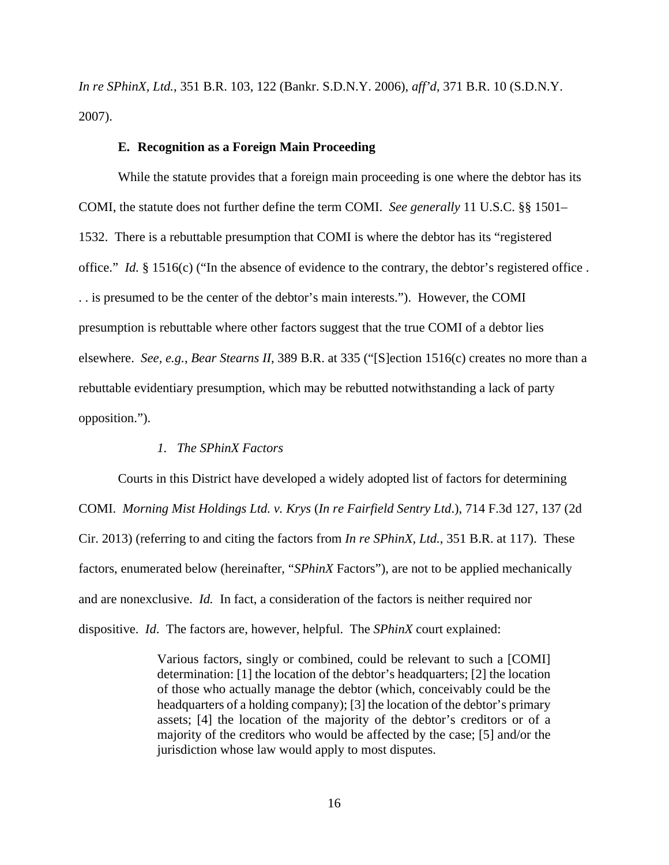*In re SPhinX, Ltd.*, 351 B.R. 103, 122 (Bankr. S.D.N.Y. 2006), *aff'd*, 371 B.R. 10 (S.D.N.Y. 2007).

#### **E. Recognition as a Foreign Main Proceeding**

 While the statute provides that a foreign main proceeding is one where the debtor has its COMI, the statute does not further define the term COMI. *See generally* 11 U.S.C. §§ 1501– 1532. There is a rebuttable presumption that COMI is where the debtor has its "registered office." *Id.* § 1516(c) ("In the absence of evidence to the contrary, the debtor's registered office . . . is presumed to be the center of the debtor's main interests."). However, the COMI presumption is rebuttable where other factors suggest that the true COMI of a debtor lies elsewhere. *See, e.g.*, *Bear Stearns II*, 389 B.R. at 335 ("[S]ection 1516(c) creates no more than a rebuttable evidentiary presumption, which may be rebutted notwithstanding a lack of party opposition.").

#### *1. The SPhinX Factors*

 Courts in this District have developed a widely adopted list of factors for determining COMI. *Morning Mist Holdings Ltd. v. Krys* (*In re Fairfield Sentry Ltd*.), 714 F.3d 127, 137 (2d Cir. 2013) (referring to and citing the factors from *In re SPhinX, Ltd.*, 351 B.R. at 117). These factors, enumerated below (hereinafter, "*SPhinX* Factors"), are not to be applied mechanically and are nonexclusive. *Id.* In fact, a consideration of the factors is neither required nor dispositive. *Id*. The factors are, however, helpful. The *SPhinX* court explained:

> Various factors, singly or combined, could be relevant to such a [COMI] determination: [1] the location of the debtor's headquarters; [2] the location of those who actually manage the debtor (which, conceivably could be the headquarters of a holding company); [3] the location of the debtor's primary assets; [4] the location of the majority of the debtor's creditors or of a majority of the creditors who would be affected by the case; [5] and/or the jurisdiction whose law would apply to most disputes.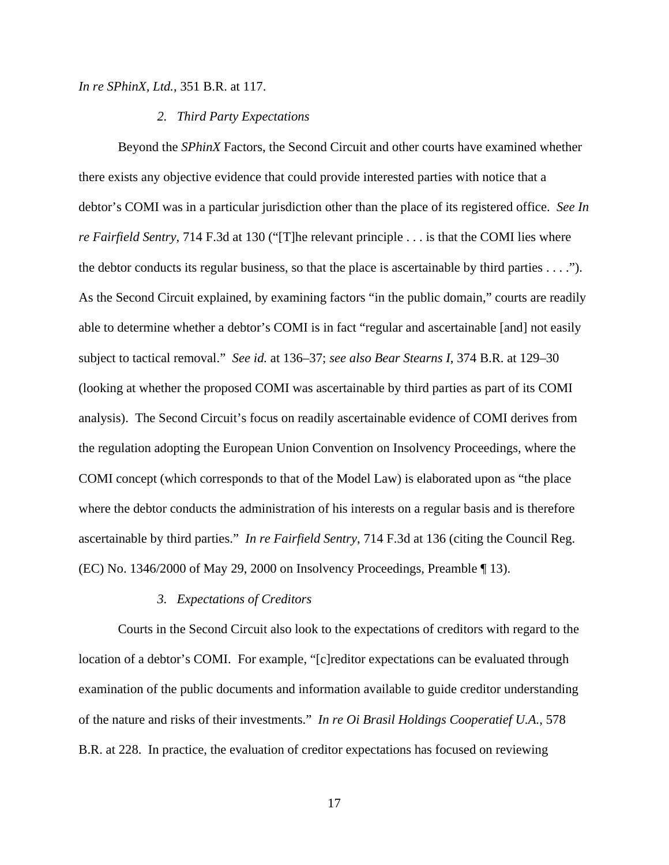*In re SPhinX, Ltd.*, 351 B.R. at 117.

#### *2. Third Party Expectations*

 Beyond the *SPhinX* Factors, the Second Circuit and other courts have examined whether there exists any objective evidence that could provide interested parties with notice that a debtor's COMI was in a particular jurisdiction other than the place of its registered office. *See In re Fairfield Sentry*, 714 F.3d at 130 ("[T]he relevant principle . . . is that the COMI lies where the debtor conducts its regular business, so that the place is ascertainable by third parties  $\dots$ ."). As the Second Circuit explained, by examining factors "in the public domain," courts are readily able to determine whether a debtor's COMI is in fact "regular and ascertainable [and] not easily subject to tactical removal." *See id.* at 136–37; *see also Bear Stearns I*, 374 B.R. at 129–30 (looking at whether the proposed COMI was ascertainable by third parties as part of its COMI analysis). The Second Circuit's focus on readily ascertainable evidence of COMI derives from the regulation adopting the European Union Convention on Insolvency Proceedings, where the COMI concept (which corresponds to that of the Model Law) is elaborated upon as "the place where the debtor conducts the administration of his interests on a regular basis and is therefore ascertainable by third parties." *In re Fairfield Sentry*, 714 F.3d at 136 (citing the Council Reg. (EC) No. 1346/2000 of May 29, 2000 on Insolvency Proceedings, Preamble ¶ 13).

#### *3. Expectations of Creditors*

 Courts in the Second Circuit also look to the expectations of creditors with regard to the location of a debtor's COMI. For example, "[c]reditor expectations can be evaluated through examination of the public documents and information available to guide creditor understanding of the nature and risks of their investments." *In re Oi Brasil Holdings Cooperatief U.A.*, 578 B.R. at 228. In practice, the evaluation of creditor expectations has focused on reviewing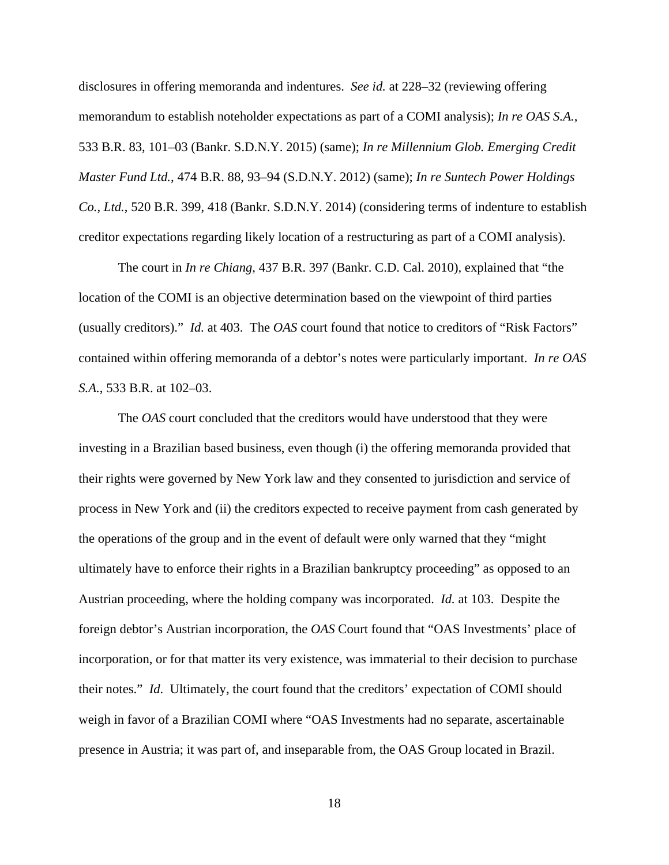disclosures in offering memoranda and indentures. *See id.* at 228–32 (reviewing offering memorandum to establish noteholder expectations as part of a COMI analysis); *In re OAS S.A.*, 533 B.R. 83, 101–03 (Bankr. S.D.N.Y. 2015) (same); *In re Millennium Glob. Emerging Credit Master Fund Ltd.*, 474 B.R. 88, 93–94 (S.D.N.Y. 2012) (same); *In re Suntech Power Holdings Co., Ltd.*, 520 B.R. 399, 418 (Bankr. S.D.N.Y. 2014) (considering terms of indenture to establish creditor expectations regarding likely location of a restructuring as part of a COMI analysis).

The court in *In re Chiang*, 437 B.R. 397 (Bankr. C.D. Cal. 2010), explained that "the location of the COMI is an objective determination based on the viewpoint of third parties (usually creditors)." *Id.* at 403. The *OAS* court found that notice to creditors of "Risk Factors" contained within offering memoranda of a debtor's notes were particularly important. *In re OAS S.A.*, 533 B.R. at 102–03.

The *OAS* court concluded that the creditors would have understood that they were investing in a Brazilian based business, even though (i) the offering memoranda provided that their rights were governed by New York law and they consented to jurisdiction and service of process in New York and (ii) the creditors expected to receive payment from cash generated by the operations of the group and in the event of default were only warned that they "might ultimately have to enforce their rights in a Brazilian bankruptcy proceeding" as opposed to an Austrian proceeding, where the holding company was incorporated. *Id.* at 103. Despite the foreign debtor's Austrian incorporation, the *OAS* Court found that "OAS Investments' place of incorporation, or for that matter its very existence, was immaterial to their decision to purchase their notes." *Id*. Ultimately, the court found that the creditors' expectation of COMI should weigh in favor of a Brazilian COMI where "OAS Investments had no separate, ascertainable presence in Austria; it was part of, and inseparable from, the OAS Group located in Brazil.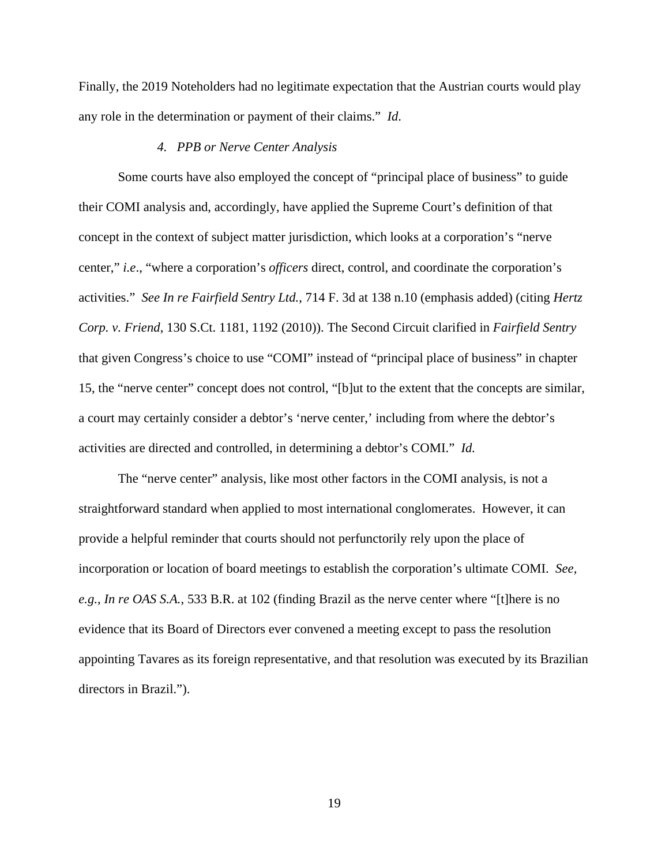Finally, the 2019 Noteholders had no legitimate expectation that the Austrian courts would play any role in the determination or payment of their claims." *Id*.

#### *4. PPB or Nerve Center Analysis*

 Some courts have also employed the concept of "principal place of business" to guide their COMI analysis and, accordingly, have applied the Supreme Court's definition of that concept in the context of subject matter jurisdiction, which looks at a corporation's "nerve center," *i.e*., "where a corporation's *officers* direct, control, and coordinate the corporation's activities." *See In re Fairfield Sentry Ltd.*, 714 F. 3d at 138 n.10 (emphasis added) (citing *Hertz Corp. v. Friend*, 130 S.Ct. 1181, 1192 (2010)). The Second Circuit clarified in *Fairfield Sentry* that given Congress's choice to use "COMI" instead of "principal place of business" in chapter 15, the "nerve center" concept does not control, "[b]ut to the extent that the concepts are similar, a court may certainly consider a debtor's 'nerve center,' including from where the debtor's activities are directed and controlled, in determining a debtor's COMI." *Id.*

 The "nerve center" analysis, like most other factors in the COMI analysis, is not a straightforward standard when applied to most international conglomerates. However, it can provide a helpful reminder that courts should not perfunctorily rely upon the place of incorporation or location of board meetings to establish the corporation's ultimate COMI. *See, e.g.*, *In re OAS S.A.*, 533 B.R. at 102 (finding Brazil as the nerve center where "[t]here is no evidence that its Board of Directors ever convened a meeting except to pass the resolution appointing Tavares as its foreign representative, and that resolution was executed by its Brazilian directors in Brazil.").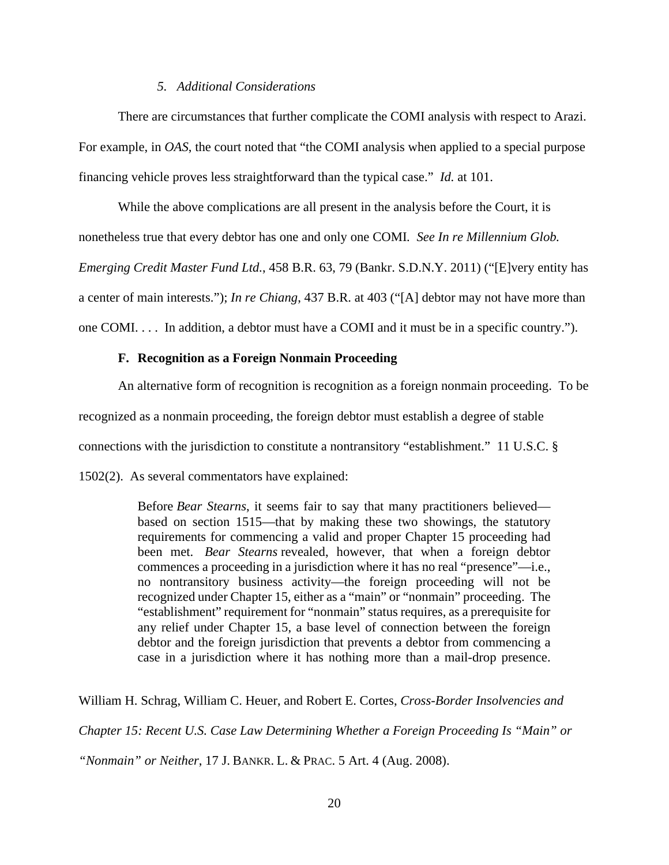### *5. Additional Considerations*

 There are circumstances that further complicate the COMI analysis with respect to Arazi. For example, in *OAS*, the court noted that "the COMI analysis when applied to a special purpose financing vehicle proves less straightforward than the typical case." *Id.* at 101.

While the above complications are all present in the analysis before the Court, it is nonetheless true that every debtor has one and only one COMI*. See In re Millennium Glob. Emerging Credit Master Fund Ltd.*, 458 B.R. 63, 79 (Bankr. S.D.N.Y. 2011) ("[E]very entity has

a center of main interests."); *In re Chiang*, 437 B.R. at 403 ("[A] debtor may not have more than

one COMI. . . . In addition, a debtor must have a COMI and it must be in a specific country.").

### **F. Recognition as a Foreign Nonmain Proceeding**

 An alternative form of recognition is recognition as a foreign nonmain proceeding. To be recognized as a nonmain proceeding, the foreign debtor must establish a degree of stable connections with the jurisdiction to constitute a nontransitory "establishment." 11 U.S.C. § 1502(2). As several commentators have explained:

> Before *Bear Stearns*, it seems fair to say that many practitioners believed based on section 1515—that by making these two showings, the statutory requirements for commencing a valid and proper Chapter 15 proceeding had been met. *Bear Stearns* revealed, however, that when a foreign debtor commences a proceeding in a jurisdiction where it has no real "presence"—i.e., no nontransitory business activity—the foreign proceeding will not be recognized under Chapter 15, either as a "main" or "nonmain" proceeding. The "establishment" requirement for "nonmain" status requires, as a prerequisite for any relief under Chapter 15, a base level of connection between the foreign debtor and the foreign jurisdiction that prevents a debtor from commencing a case in a jurisdiction where it has nothing more than a mail-drop presence.

William H. Schrag, William C. Heuer, and Robert E. Cortes, *Cross-Border Insolvencies and Chapter 15: Recent U.S. Case Law Determining Whether a Foreign Proceeding Is "Main" or "Nonmain" or Neither*, 17 J. BANKR. L. & PRAC. 5 Art. 4 (Aug. 2008).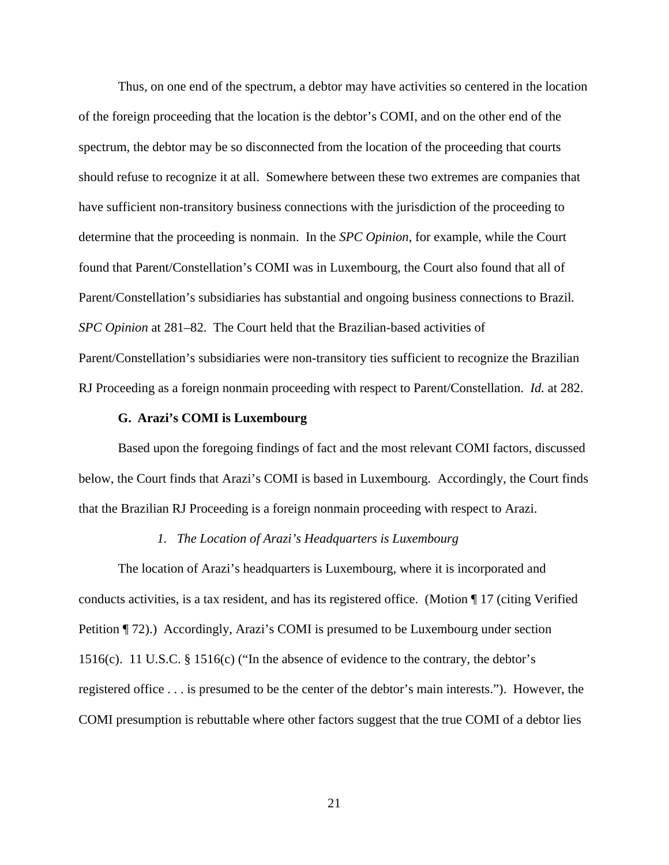Thus, on one end of the spectrum, a debtor may have activities so centered in the location of the foreign proceeding that the location is the debtor's COMI, and on the other end of the spectrum, the debtor may be so disconnected from the location of the proceeding that courts should refuse to recognize it at all. Somewhere between these two extremes are companies that have sufficient non-transitory business connections with the jurisdiction of the proceeding to determine that the proceeding is nonmain. In the *SPC Opinion*, for example, while the Court found that Parent/Constellation's COMI was in Luxembourg, the Court also found that all of Parent/Constellation's subsidiaries has substantial and ongoing business connections to Brazil*. SPC Opinion* at 281–82. The Court held that the Brazilian-based activities of Parent/Constellation's subsidiaries were non-transitory ties sufficient to recognize the Brazilian RJ Proceeding as a foreign nonmain proceeding with respect to Parent/Constellation. *Id.* at 282.

#### **G. Arazi's COMI is Luxembourg**

Based upon the foregoing findings of fact and the most relevant COMI factors, discussed below, the Court finds that Arazi's COMI is based in Luxembourg. Accordingly, the Court finds that the Brazilian RJ Proceeding is a foreign nonmain proceeding with respect to Arazi.

## *1. The Location of Arazi's Headquarters is Luxembourg*

The location of Arazi's headquarters is Luxembourg, where it is incorporated and conducts activities, is a tax resident, and has its registered office. (Motion ¶ 17 (citing Verified Petition ¶ 72).) Accordingly, Arazi's COMI is presumed to be Luxembourg under section 1516(c). 11 U.S.C. § 1516(c) ("In the absence of evidence to the contrary, the debtor's registered office . . . is presumed to be the center of the debtor's main interests."). However, the COMI presumption is rebuttable where other factors suggest that the true COMI of a debtor lies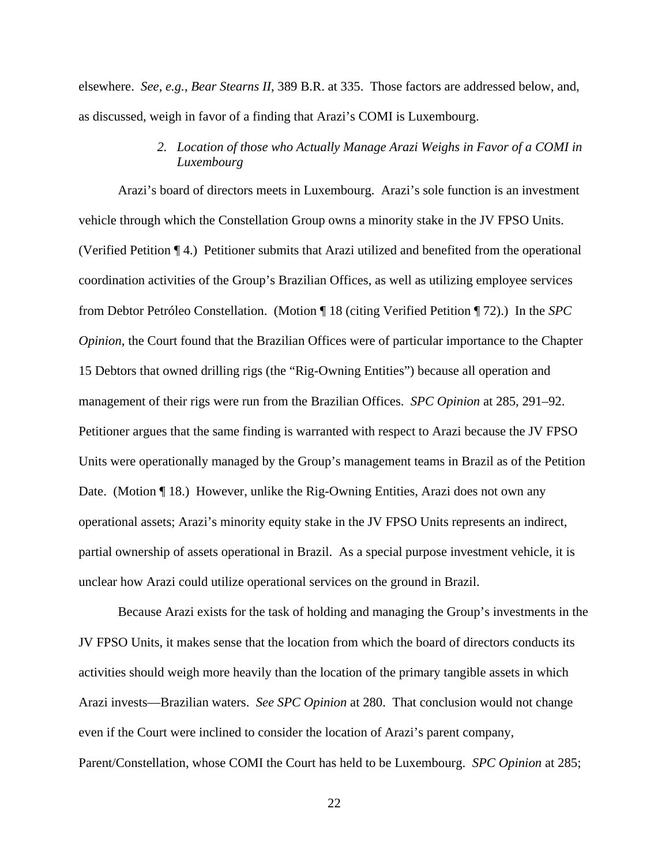elsewhere. *See, e.g.*, *Bear Stearns II*, 389 B.R. at 335. Those factors are addressed below, and, as discussed, weigh in favor of a finding that Arazi's COMI is Luxembourg.

> *2. Location of those who Actually Manage Arazi Weighs in Favor of a COMI in Luxembourg*

Arazi's board of directors meets in Luxembourg. Arazi's sole function is an investment vehicle through which the Constellation Group owns a minority stake in the JV FPSO Units. (Verified Petition ¶ 4.) Petitioner submits that Arazi utilized and benefited from the operational coordination activities of the Group's Brazilian Offices, as well as utilizing employee services from Debtor Petróleo Constellation. (Motion ¶ 18 (citing Verified Petition ¶ 72).) In the *SPC Opinion*, the Court found that the Brazilian Offices were of particular importance to the Chapter 15 Debtors that owned drilling rigs (the "Rig-Owning Entities") because all operation and management of their rigs were run from the Brazilian Offices. *SPC Opinion* at 285, 291–92. Petitioner argues that the same finding is warranted with respect to Arazi because the JV FPSO Units were operationally managed by the Group's management teams in Brazil as of the Petition Date. (Motion ¶ 18.) However, unlike the Rig-Owning Entities, Arazi does not own any operational assets; Arazi's minority equity stake in the JV FPSO Units represents an indirect, partial ownership of assets operational in Brazil. As a special purpose investment vehicle, it is unclear how Arazi could utilize operational services on the ground in Brazil.

Because Arazi exists for the task of holding and managing the Group's investments in the JV FPSO Units, it makes sense that the location from which the board of directors conducts its activities should weigh more heavily than the location of the primary tangible assets in which Arazi invests—Brazilian waters. *See SPC Opinion* at 280. That conclusion would not change even if the Court were inclined to consider the location of Arazi's parent company, Parent/Constellation, whose COMI the Court has held to be Luxembourg. *SPC Opinion* at 285;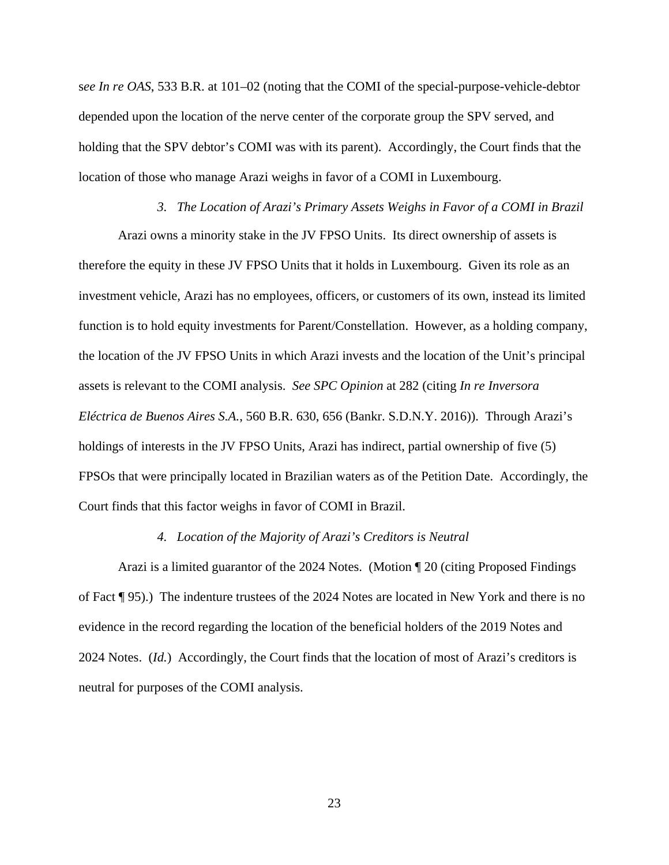s*ee In re OAS*, 533 B.R. at 101–02 (noting that the COMI of the special-purpose-vehicle-debtor depended upon the location of the nerve center of the corporate group the SPV served, and holding that the SPV debtor's COMI was with its parent). Accordingly, the Court finds that the location of those who manage Arazi weighs in favor of a COMI in Luxembourg.

# *3. The Location of Arazi's Primary Assets Weighs in Favor of a COMI in Brazil*

Arazi owns a minority stake in the JV FPSO Units. Its direct ownership of assets is therefore the equity in these JV FPSO Units that it holds in Luxembourg. Given its role as an investment vehicle, Arazi has no employees, officers, or customers of its own, instead its limited function is to hold equity investments for Parent/Constellation. However, as a holding company, the location of the JV FPSO Units in which Arazi invests and the location of the Unit's principal assets is relevant to the COMI analysis. *See SPC Opinion* at 282 (citing *In re Inversora Eléctrica de Buenos Aires S.A.*, 560 B.R. 630, 656 (Bankr. S.D.N.Y. 2016)). Through Arazi's holdings of interests in the JV FPSO Units, Arazi has indirect, partial ownership of five (5) FPSOs that were principally located in Brazilian waters as of the Petition Date. Accordingly, the Court finds that this factor weighs in favor of COMI in Brazil.

### *4. Location of the Majority of Arazi's Creditors is Neutral*

Arazi is a limited guarantor of the 2024 Notes. (Motion ¶ 20 (citing Proposed Findings of Fact ¶ 95).) The indenture trustees of the 2024 Notes are located in New York and there is no evidence in the record regarding the location of the beneficial holders of the 2019 Notes and 2024 Notes. (*Id.*) Accordingly, the Court finds that the location of most of Arazi's creditors is neutral for purposes of the COMI analysis.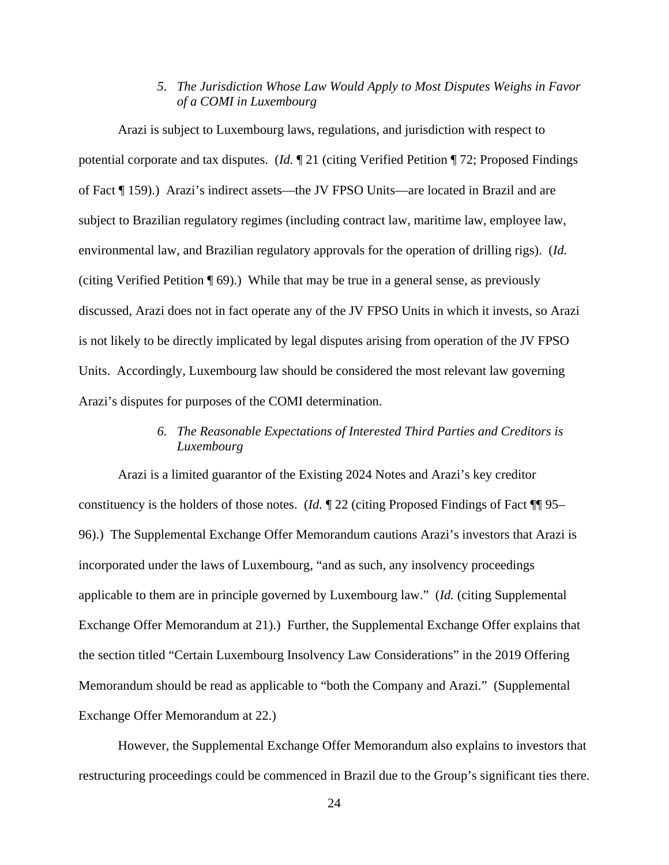## *5. The Jurisdiction Whose Law Would Apply to Most Disputes Weighs in Favor of a COMI in Luxembourg*

Arazi is subject to Luxembourg laws, regulations, and jurisdiction with respect to potential corporate and tax disputes. (*Id.* ¶ 21 (citing Verified Petition ¶ 72; Proposed Findings of Fact ¶ 159).) Arazi's indirect assets—the JV FPSO Units—are located in Brazil and are subject to Brazilian regulatory regimes (including contract law, maritime law, employee law, environmental law, and Brazilian regulatory approvals for the operation of drilling rigs). (*Id.* (citing Verified Petition ¶ 69).) While that may be true in a general sense, as previously discussed, Arazi does not in fact operate any of the JV FPSO Units in which it invests, so Arazi is not likely to be directly implicated by legal disputes arising from operation of the JV FPSO Units. Accordingly, Luxembourg law should be considered the most relevant law governing Arazi's disputes for purposes of the COMI determination.

# *6. The Reasonable Expectations of Interested Third Parties and Creditors is Luxembourg*

Arazi is a limited guarantor of the Existing 2024 Notes and Arazi's key creditor constituency is the holders of those notes. (*Id.* ¶ 22 (citing Proposed Findings of Fact ¶¶ 95– 96).) The Supplemental Exchange Offer Memorandum cautions Arazi's investors that Arazi is incorporated under the laws of Luxembourg, "and as such, any insolvency proceedings applicable to them are in principle governed by Luxembourg law." (*Id.* (citing Supplemental Exchange Offer Memorandum at 21).) Further, the Supplemental Exchange Offer explains that the section titled "Certain Luxembourg Insolvency Law Considerations" in the 2019 Offering Memorandum should be read as applicable to "both the Company and Arazi." (Supplemental Exchange Offer Memorandum at 22.)

However, the Supplemental Exchange Offer Memorandum also explains to investors that restructuring proceedings could be commenced in Brazil due to the Group's significant ties there.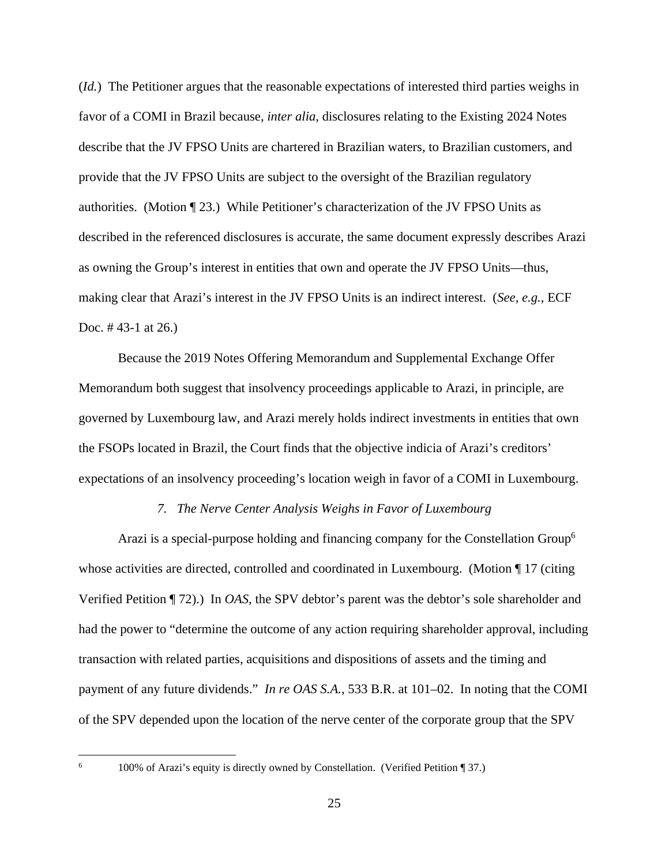(*Id.*) The Petitioner argues that the reasonable expectations of interested third parties weighs in favor of a COMI in Brazil because, *inter alia*, disclosures relating to the Existing 2024 Notes describe that the JV FPSO Units are chartered in Brazilian waters, to Brazilian customers, and provide that the JV FPSO Units are subject to the oversight of the Brazilian regulatory authorities. (Motion ¶ 23.) While Petitioner's characterization of the JV FPSO Units as described in the referenced disclosures is accurate, the same document expressly describes Arazi as owning the Group's interest in entities that own and operate the JV FPSO Units—thus, making clear that Arazi's interest in the JV FPSO Units is an indirect interest. (*See, e.g.*, ECF Doc. # 43-1 at 26.)

Because the 2019 Notes Offering Memorandum and Supplemental Exchange Offer Memorandum both suggest that insolvency proceedings applicable to Arazi, in principle, are governed by Luxembourg law, and Arazi merely holds indirect investments in entities that own the FSOPs located in Brazil, the Court finds that the objective indicia of Arazi's creditors' expectations of an insolvency proceeding's location weigh in favor of a COMI in Luxembourg.

#### *7. The Nerve Center Analysis Weighs in Favor of Luxembourg*

Arazi is a special-purpose holding and financing company for the Constellation Group<sup>6</sup> whose activities are directed, controlled and coordinated in Luxembourg. (Motion  $\llbracket 17 \text{ (citing }$ ) Verified Petition ¶ 72).) In *OAS*, the SPV debtor's parent was the debtor's sole shareholder and had the power to "determine the outcome of any action requiring shareholder approval, including transaction with related parties, acquisitions and dispositions of assets and the timing and payment of any future dividends." *In re OAS S.A.*, 533 B.R. at 101–02. In noting that the COMI of the SPV depended upon the location of the nerve center of the corporate group that the SPV

 <sup>100%</sup> of Arazi's equity is directly owned by Constellation. (Verified Petition ¶ 37.)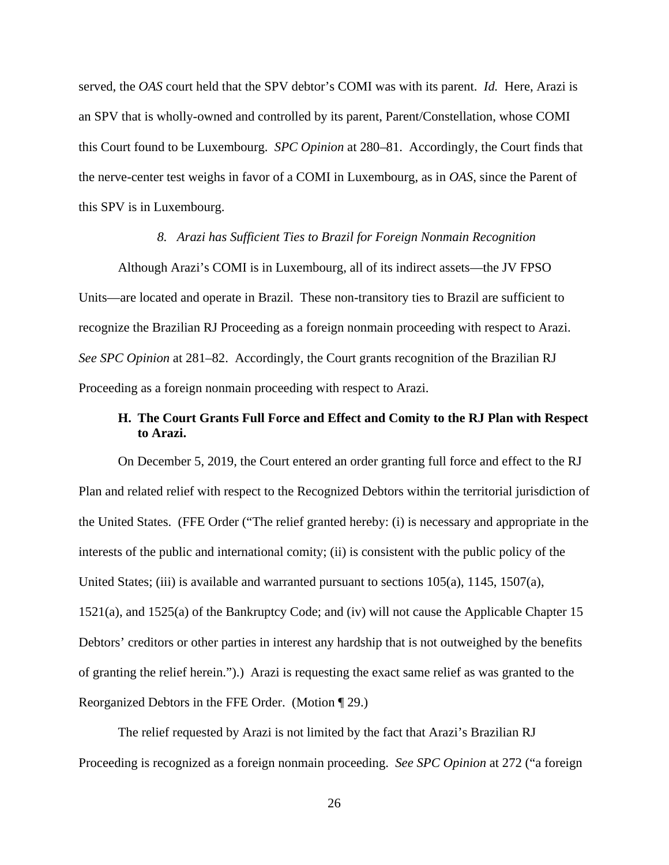served, the *OAS* court held that the SPV debtor's COMI was with its parent. *Id.* Here, Arazi is an SPV that is wholly-owned and controlled by its parent, Parent/Constellation, whose COMI this Court found to be Luxembourg. *SPC Opinion* at 280–81. Accordingly, the Court finds that the nerve-center test weighs in favor of a COMI in Luxembourg, as in *OAS*, since the Parent of this SPV is in Luxembourg.

#### *8. Arazi has Sufficient Ties to Brazil for Foreign Nonmain Recognition*

Although Arazi's COMI is in Luxembourg, all of its indirect assets—the JV FPSO Units—are located and operate in Brazil. These non-transitory ties to Brazil are sufficient to recognize the Brazilian RJ Proceeding as a foreign nonmain proceeding with respect to Arazi. *See SPC Opinion* at 281–82. Accordingly, the Court grants recognition of the Brazilian RJ Proceeding as a foreign nonmain proceeding with respect to Arazi.

# **H. The Court Grants Full Force and Effect and Comity to the RJ Plan with Respect to Arazi.**

On December 5, 2019, the Court entered an order granting full force and effect to the RJ Plan and related relief with respect to the Recognized Debtors within the territorial jurisdiction of the United States. (FFE Order ("The relief granted hereby: (i) is necessary and appropriate in the interests of the public and international comity; (ii) is consistent with the public policy of the United States; (iii) is available and warranted pursuant to sections 105(a), 1145, 1507(a), 1521(a), and 1525(a) of the Bankruptcy Code; and (iv) will not cause the Applicable Chapter 15 Debtors' creditors or other parties in interest any hardship that is not outweighed by the benefits of granting the relief herein.").) Arazi is requesting the exact same relief as was granted to the Reorganized Debtors in the FFE Order. (Motion ¶ 29.)

The relief requested by Arazi is not limited by the fact that Arazi's Brazilian RJ Proceeding is recognized as a foreign nonmain proceeding. *See SPC Opinion* at 272 ("a foreign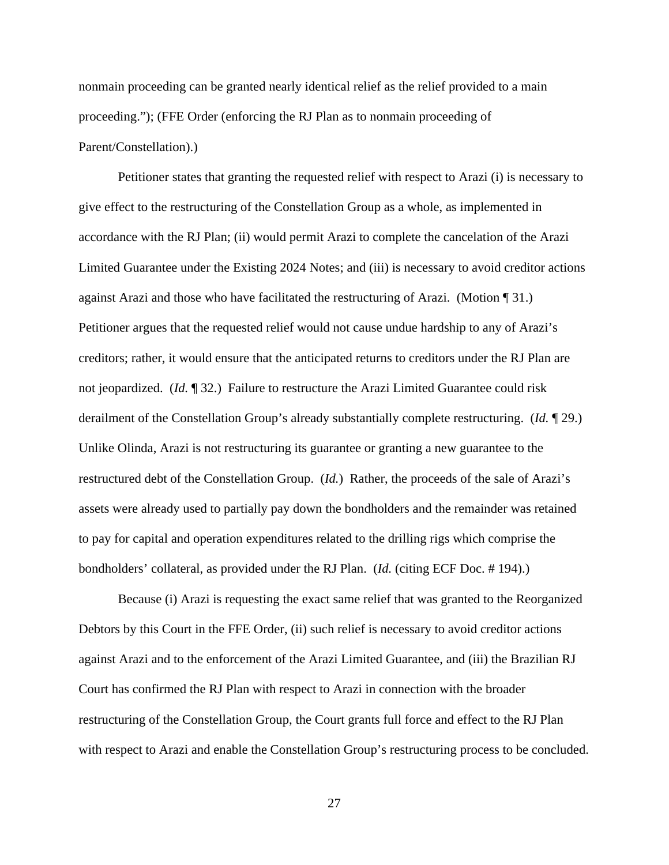nonmain proceeding can be granted nearly identical relief as the relief provided to a main proceeding."); (FFE Order (enforcing the RJ Plan as to nonmain proceeding of Parent/Constellation).)

Petitioner states that granting the requested relief with respect to Arazi (i) is necessary to give effect to the restructuring of the Constellation Group as a whole, as implemented in accordance with the RJ Plan; (ii) would permit Arazi to complete the cancelation of the Arazi Limited Guarantee under the Existing 2024 Notes; and (iii) is necessary to avoid creditor actions against Arazi and those who have facilitated the restructuring of Arazi. (Motion ¶ 31.) Petitioner argues that the requested relief would not cause undue hardship to any of Arazi's creditors; rather, it would ensure that the anticipated returns to creditors under the RJ Plan are not jeopardized. (*Id.* ¶ 32.) Failure to restructure the Arazi Limited Guarantee could risk derailment of the Constellation Group's already substantially complete restructuring. (*Id.* ¶ 29.) Unlike Olinda, Arazi is not restructuring its guarantee or granting a new guarantee to the restructured debt of the Constellation Group. (*Id.*) Rather, the proceeds of the sale of Arazi's assets were already used to partially pay down the bondholders and the remainder was retained to pay for capital and operation expenditures related to the drilling rigs which comprise the bondholders' collateral, as provided under the RJ Plan. (*Id.* (citing ECF Doc. # 194).)

Because (i) Arazi is requesting the exact same relief that was granted to the Reorganized Debtors by this Court in the FFE Order, (ii) such relief is necessary to avoid creditor actions against Arazi and to the enforcement of the Arazi Limited Guarantee, and (iii) the Brazilian RJ Court has confirmed the RJ Plan with respect to Arazi in connection with the broader restructuring of the Constellation Group, the Court grants full force and effect to the RJ Plan with respect to Arazi and enable the Constellation Group's restructuring process to be concluded.